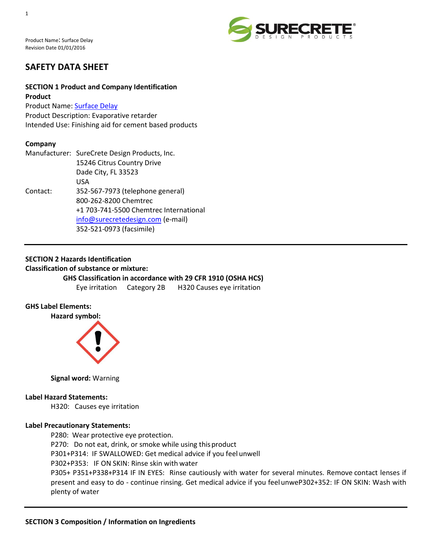

# **SAFETY DATA SHEET**

# **SECTION 1 Product and Company Identification Product**

Product Name: [Surface Delay](http://www.surecretedesign.com/surface-delay/) Product Description: Evaporative retarder Intended Use: Finishing aid for cement based products

# **Company**

|          | Manufacturer: SureCrete Design Products, Inc. |
|----------|-----------------------------------------------|
|          | 15246 Citrus Country Drive                    |
|          | Dade City, FL 33523                           |
|          | USA                                           |
| Contact: | 352-567-7973 (telephone general)              |
|          | 800-262-8200 Chemtrec                         |
|          | +1 703-741-5500 Chemtrec International        |
|          | info@surecretedesign.com (e-mail)             |
|          | 352-521-0973 (facsimile)                      |

# **SECTION 2 Hazards Identification**

**Classification of substance or mixture:**

#### **GHS Classification in accordance with 29 CFR 1910 (OSHA HCS)**

Eye irritation Category 2B H320 Causes eye irritation

# **GHS Label Elements:**

**Hazard symbol:**



**Signal word:** Warning

#### **Label Hazard Statements:**

H320: Causes eye irritation

#### **Label Precautionary Statements:**

P280: Wear protective eye protection. P270: Do not eat, drink, or smoke while using this product P301+P314: IF SWALLOWED: Get medical advice if you feel unwell P302+P353: IF ON SKIN: Rinse skin with water P305+ P351+P338+P314 IF IN EYES: Rinse cautiously with water for several minutes. Remove contact lenses if present and easy to do - continue rinsing. Get medical advice if you feelunweP302+352: IF ON SKIN: Wash with plenty of water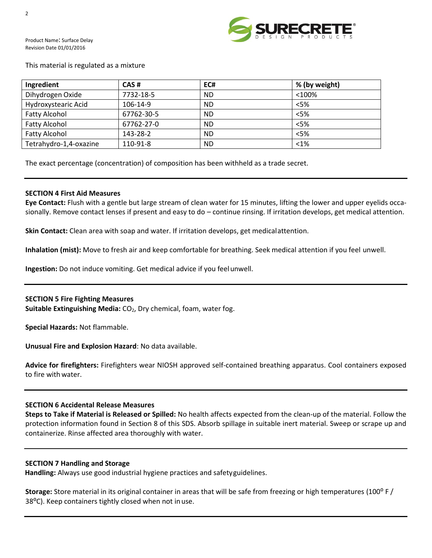

#### This material is regulated as a mixture

| Ingredient             | CAS#       | EC#       | % (by weight) |
|------------------------|------------|-----------|---------------|
| Dihydrogen Oxide       | 7732-18-5  | <b>ND</b> | < 100%        |
| Hydroxystearic Acid    | 106-14-9   | <b>ND</b> | $<$ 5%        |
| <b>Fatty Alcohol</b>   | 67762-30-5 | <b>ND</b> | $<$ 5%        |
| <b>Fatty Alcohol</b>   | 67762-27-0 | <b>ND</b> | < 5%          |
| <b>Fatty Alcohol</b>   | 143-28-2   | <b>ND</b> | $<$ 5%        |
| Tetrahydro-1,4-oxazine | 110-91-8   | <b>ND</b> | $< 1\%$       |

The exact percentage (concentration) of composition has been withheld as a trade secret.

# **SECTION 4 First Aid Measures**

**Eye Contact:** Flush with a gentle but large stream of clean water for 15 minutes, lifting the lower and upper eyelids occasionally. Remove contact lenses if present and easy to do – continue rinsing. If irritation develops, get medical attention.

**Skin Contact:** Clean area with soap and water. If irritation develops, get medicalattention.

**Inhalation (mist):** Move to fresh air and keep comfortable for breathing. Seek medical attention if you feel unwell.

**Ingestion:** Do not induce vomiting. Get medical advice if you feelunwell.

#### **SECTION 5 Fire Fighting Measures**

**Suitable Extinguishing Media:** CO<sub>2</sub>, Dry chemical, foam, water fog.

**Special Hazards:** Not flammable.

**Unusual Fire and Explosion Hazard**: No data available.

**Advice for firefighters:** Firefighters wear NIOSH approved self-contained breathing apparatus. Cool containers exposed to fire with water.

# **SECTION 6 Accidental Release Measures**

**Steps to Take if Material is Released or Spilled:** No health affects expected from the clean-up of the material. Follow the protection information found in Section 8 of this SDS. Absorb spillage in suitable inert material. Sweep or scrape up and containerize. Rinse affected area thoroughly with water.

#### **SECTION 7 Handling and Storage**

**Handling:** Always use good industrial hygiene practices and safetyguidelines.

**Storage:** Store material in its original container in areas that will be safe from freezing or high temperatures (100⁰ F / 38<sup>o</sup>C). Keep containers tightly closed when not inuse.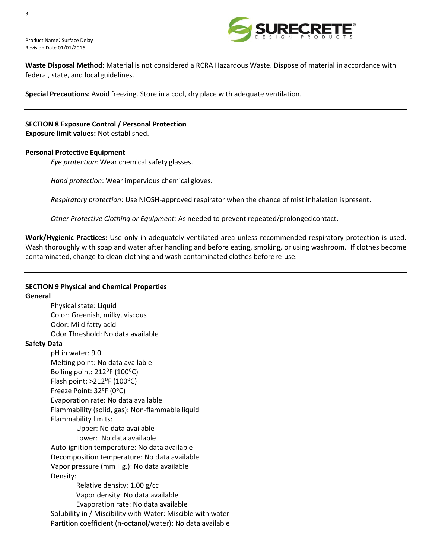

**Waste Disposal Method:** Material is not considered a RCRA Hazardous Waste. Dispose of material in accordance with federal, state, and local guidelines.

**Special Precautions:** Avoid freezing. Store in a cool, dry place with adequate ventilation.

**SECTION 8 Exposure Control / Personal Protection Exposure limit values:** Not established.

#### **Personal Protective Equipment**

*Eye protection*: Wear chemical safety glasses.

*Hand protection*: Wear impervious chemical gloves.

*Respiratory protection*: Use NIOSH-approved respirator when the chance of mist inhalation ispresent.

*Other Protective Clothing or Equipment:* As needed to prevent repeated/prolongedcontact.

**Work/Hygienic Practices:** Use only in adequately-ventilated area unless recommended respiratory protection is used. Wash thoroughly with soap and water after handling and before eating, smoking, or using washroom. If clothes become contaminated, change to clean clothing and wash contaminated clothes beforere-use.

# **SECTION 9 Physical and Chemical Properties**

#### **General**

Physical state: Liquid Color: Greenish, milky, viscous Odor: Mild fatty acid Odor Threshold: No data available

#### **Safety Data**

pH in water: 9.0 Melting point: No data available Boiling point: 212°F (100°C) Flash point:  $>212$ <sup>o</sup>F (100<sup>o</sup>C) Freeze Point: 32ᵒF (0ᵒC) Evaporation rate: No data available Flammability (solid, gas): Non-flammable liquid Flammability limits:

> Upper: No data available Lower: No data available

Auto-ignition temperature: No data available Decomposition temperature: No data available Vapor pressure (mm Hg.): No data available Density:

Relative density: 1.00 g/cc Vapor density: No data available Evaporation rate: No data available Solubility in / Miscibility with Water: Miscible with water Partition coefficient (n-octanol/water): No data available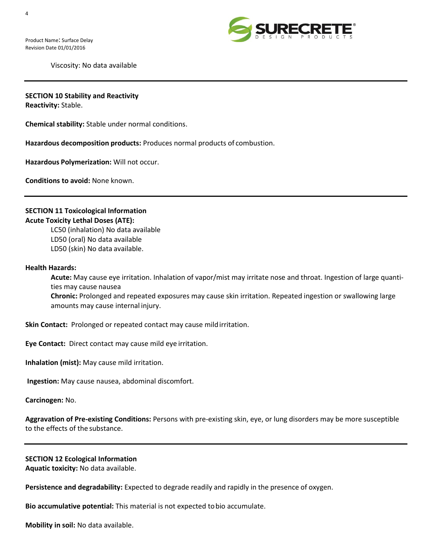

Viscosity: No data available

#### **SECTION 10 Stability and Reactivity**

**Reactivity:** Stable.

**Chemical stability:** Stable under normal conditions.

**Hazardous decomposition products:** Produces normal products of combustion.

**Hazardous Polymerization:** Will not occur.

**Conditions to avoid:** None known.

# **SECTION 11 Toxicological Information Acute Toxicity Lethal Doses (ATE):**

LC50 (inhalation) No data available LD50 (oral) No data available LD50 (skin) No data available.

#### **Health Hazards:**

**Acute:** May cause eye irritation. Inhalation of vapor/mist may irritate nose and throat. Ingestion of large quantities may cause nausea **Chronic:** Prolonged and repeated exposures may cause skin irritation. Repeated ingestion or swallowing large amounts may cause internal injury.

**Skin Contact:** Prolonged or repeated contact may cause mildirritation.

**Eye Contact:** Direct contact may cause mild eye irritation.

**Inhalation (mist):** May cause mild irritation.

**Ingestion:** May cause nausea, abdominal discomfort.

**Carcinogen:** No.

**Aggravation of Pre-existing Conditions:** Persons with pre-existing skin, eye, or lung disorders may be more susceptible to the effects of the substance.

#### **SECTION 12 Ecological Information**

**Aquatic toxicity:** No data available.

**Persistence and degradability:** Expected to degrade readily and rapidly in the presence of oxygen.

**Bio accumulative potential:** This material is not expected tobio accumulate.

**Mobility in soil:** No data available.